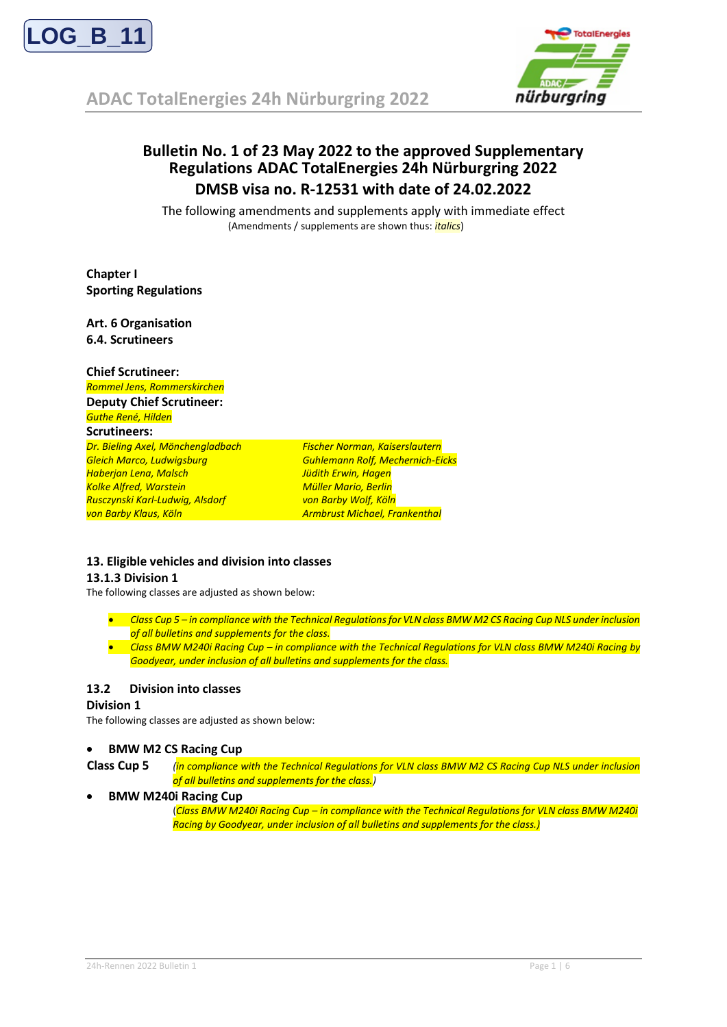

**ADAC TotalEnergies 24h Nürburgring 2022**



# **Bulletin No. 1 of 23 May 2022 to the approved Supplementary Regulations ADAC TotalEnergies 24h Nürburgring 2022 DMSB visa no. R-12531 with date of 24.02.2022**

The following amendments and supplements apply with immediate effect (Amendments / supplements are shown thus: *italics*)

**Chapter I Sporting Regulations**

**Art. 6 Organisation 6.4. Scrutineers**

| <b>Chief Scrutineer:</b>          |                                         |
|-----------------------------------|-----------------------------------------|
| Rommel Jens, Rommerskirchen       |                                         |
| <b>Deputy Chief Scrutineer:</b>   |                                         |
| Guthe René, Hilden                |                                         |
| <b>Scrutineers:</b>               |                                         |
| Dr. Bieling Axel, Mönchengladbach | <b>Fischer Norman, Kaiserslautern</b>   |
| Gleich Marco, Ludwigsburg         | <b>Guhlemann Rolf, Mechernich-Eicks</b> |
| Haberjan Lena, Malsch             | Jüdith Erwin, Hagen                     |
| <b>Kolke Alfred, Warstein</b>     | <b>Müller Mario, Berlin</b>             |
| Rusczynski Karl-Ludwig, Alsdorf   | von Barby Wolf, Köln                    |
| von Barby Klaus, Köln             | <b>Armbrust Michael, Frankenthal</b>    |

#### **13. Eligible vehicles and division into classes**

#### **13.1.3 Division 1**

The following classes are adjusted as shown below:

- *Class Cup 5 – in compliance with the Technical Regulations for VLN class BMW M2 CS Racing Cup NLS under inclusion of all bulletins and supplements for the class.*
- *Class BMW M240i Racing Cup – in compliance with the Technical Regulations for VLN class BMW M240i Racing by Goodyear, under inclusion of all bulletins and supplements for the class.*

### **13.2 Division into classes**

#### **Division 1**

The following classes are adjusted as shown below:

#### • **BMW M2 CS Racing Cup**

- **Class Cup 5** *(in compliance with the Technical Regulations for VLN class BMW M2 CS Racing Cup NLS under inclusion of all bulletins and supplements for the class.)*
- **BMW M240i Racing Cup**

(*Class BMW M240i Racing Cup – in compliance with the Technical Regulations for VLN class BMW M240i Racing by Goodyear, under inclusion of all bulletins and supplements for the class.)*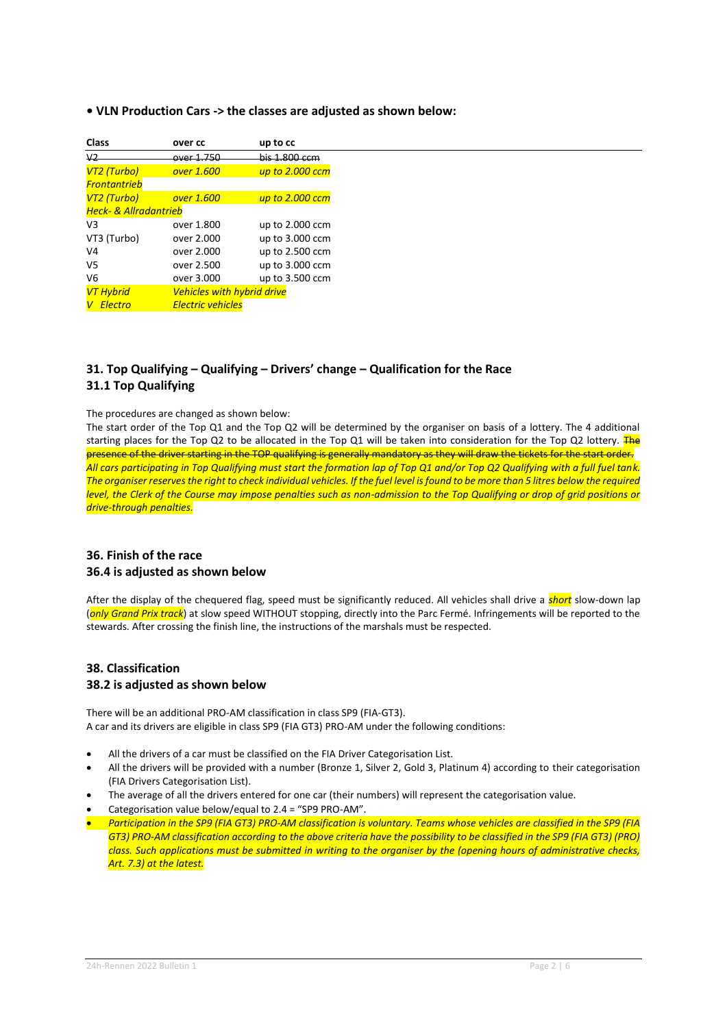#### **• VLN Production Cars -> the classes are adjusted as shown below:**

| over cc                           | up to cc        |
|-----------------------------------|-----------------|
| over 1.750                        | his 1.800 ccm   |
| over 1.600                        | up to 2.000 ccm |
|                                   |                 |
| over 1.600                        | up to 2.000 ccm |
| <b>Heck- &amp; Allradantrieb</b>  |                 |
| over 1.800                        | up to 2.000 ccm |
| over 2.000                        | up to 3.000 ccm |
| over 2.000                        | up to 2.500 ccm |
| over 2.500                        | up to 3.000 ccm |
| over 3.000                        | up to 3.500 ccm |
| <b>Vehicles with hybrid drive</b> |                 |
| <b>Electric vehicles</b>          |                 |
|                                   |                 |

# **31. Top Qualifying – Qualifying – Drivers' change – Qualification for the Race 31.1 Top Qualifying**

#### The procedures are changed as shown below:

The start order of the Top Q1 and the Top Q2 will be determined by the organiser on basis of a lottery. The 4 additional starting places for the Top Q2 to be allocated in the Top Q1 will be taken into consideration for the Top Q2 lottery. The presence of the driver starting in the TOP qualifying is generally mandatory as they will draw the tickets for the start order. *All cars participating in Top Qualifying must start the formation lap of Top Q1 and/or Top Q2 Qualifying with a full fuel tank. The organiser reserves the right to check individual vehicles. If the fuel level is found to be more than 5 litres below the required level, the Clerk of the Course may impose penalties such as non-admission to the Top Qualifying or drop of grid positions or drive-through penalties.*

#### **36. Finish of the race 36.4 is adjusted as shown below**

After the display of the chequered flag, speed must be significantly reduced. All vehicles shall drive a *short* slow-down lap (*only Grand Prix track*) at slow speed WITHOUT stopping, directly into the Parc Fermé. Infringements will be reported to the stewards. After crossing the finish line, the instructions of the marshals must be respected.

# **38. Classification 38.2 is adjusted as shown below**

There will be an additional PRO-AM classification in class SP9 (FIA-GT3). A car and its drivers are eligible in class SP9 (FIA GT3) PRO-AM under the following conditions:

- All the drivers of a car must be classified on the FIA Driver Categorisation List.
- All the drivers will be provided with a number (Bronze 1, Silver 2, Gold 3, Platinum 4) according to their categorisation (FIA Drivers Categorisation List).
- The average of all the drivers entered for one car (their numbers) will represent the categorisation value.
- Categorisation value below/equal to 2.4 = "SP9 PRO-AM".
- *Participation in the SP9 (FIA GT3) PRO-AM classification is voluntary. Teams whose vehicles are classified in the SP9 (FIA GT3) PRO-AM classification according to the above criteria have the possibility to be classified in the SP9 (FIA GT3) (PRO) class. Such applications must be submitted in writing to the organiser by the (opening hours of administrative checks, Art. 7.3) at the latest.*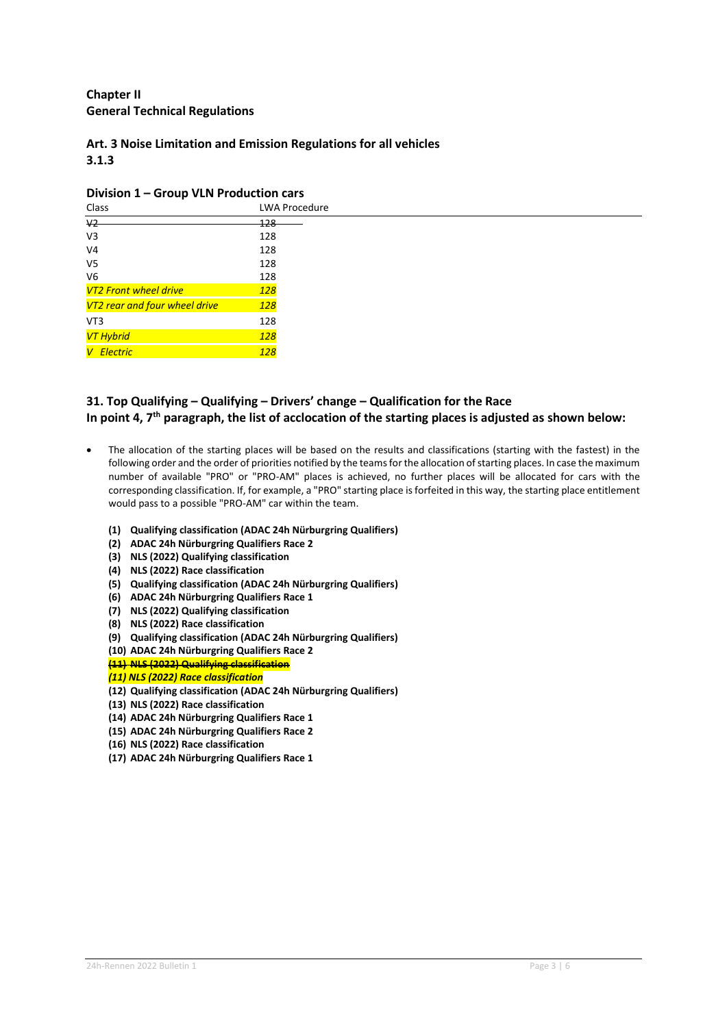# **Chapter II General Technical Regulations**

# **Art. 3 Noise Limitation and Emission Regulations for all vehicles 3.1.3**

#### **Division 1 – Group VLN Production cars**

| . .<br>Class                  | <b>LWA Procedure</b> |
|-------------------------------|----------------------|
| $\vee$                        | 128                  |
| V3                            | 128                  |
| V4                            | 128                  |
| V5                            | 128                  |
| V6                            | 128                  |
| <b>VT2 Front wheel drive</b>  | <b>128</b>           |
| VT2 rear and four wheel drive | <b>128</b>           |
| VT3                           | 128                  |
| VT Hybrid                     | <b>128</b>           |
| V Electric                    | <b>128</b>           |

# **31. Top Qualifying – Qualifying – Drivers' change – Qualification for the Race In point 4, 7th paragraph, the list of acclocation of the starting places is adjusted as shown below:**

- The allocation of the starting places will be based on the results and classifications (starting with the fastest) in the following order and the order of priorities notified by the teams for the allocation of starting places. In case the maximum number of available "PRO" or "PRO-AM" places is achieved, no further places will be allocated for cars with the corresponding classification. If, for example, a "PRO" starting place is forfeited in this way, the starting place entitlement would pass to a possible "PRO-AM" car within the team.
	- **(1) Qualifying classification (ADAC 24h Nürburgring Qualifiers)**
	- **(2) ADAC 24h Nürburgring Qualifiers Race 2**
	- **(3) NLS (2022) Qualifying classification**
	- **(4) NLS (2022) Race classification**
	- **(5) Qualifying classification (ADAC 24h Nürburgring Qualifiers)**
	- **(6) ADAC 24h Nürburgring Qualifiers Race 1**
	- **(7) NLS (2022) Qualifying classification**
	- **(8) NLS (2022) Race classification**
	- **(9) Qualifying classification (ADAC 24h Nürburgring Qualifiers)**
	- **(10) ADAC 24h Nürburgring Qualifiers Race 2**
	- **(11) NLS (2022) Qualifying classification**
	- *(11) NLS (2022) Race classification*
	- **(12) Qualifying classification (ADAC 24h Nürburgring Qualifiers)**
	- **(13) NLS (2022) Race classification**
	- **(14) ADAC 24h Nürburgring Qualifiers Race 1**
	- **(15) ADAC 24h Nürburgring Qualifiers Race 2**
	- **(16) NLS (2022) Race classification**
	- **(17) ADAC 24h Nürburgring Qualifiers Race 1**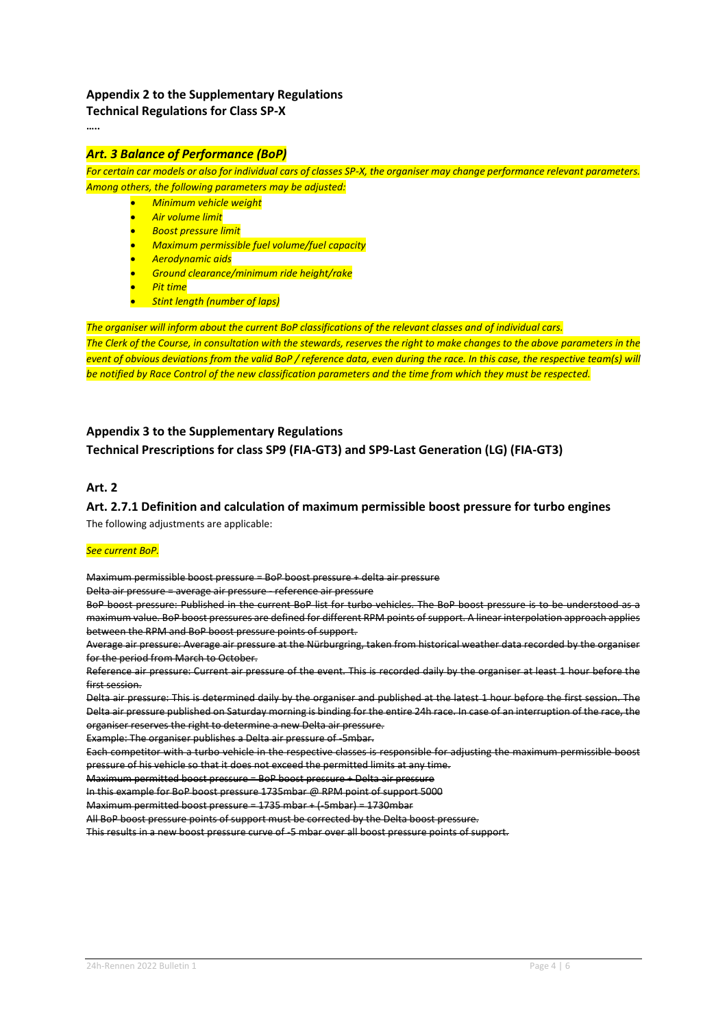# **Appendix 2 to the Supplementary Regulations**

**Technical Regulations for Class SP-X**

**…..**

# *Art. 3 Balance of Performance (BoP)*

*For certain car models or also for individual cars of classes SP-X, the organiser may change performance relevant parameters. Among others, the following parameters may be adjusted:* 

- *Minimum vehicle weight*
- *Air volume limit*
- *Boost pressure limit*
- *Maximum permissible fuel volume/fuel capacity*
- *Aerodynamic aids*
- *Ground clearance/minimum ride height/rake*
- *Pit time*
- *Stint length (number of laps)*

*The organiser will inform about the current BoP classifications of the relevant classes and of individual cars. The Clerk of the Course, in consultation with the stewards, reserves the right to make changes to the above parameters in the event of obvious deviations from the valid BoP / reference data, even during the race. In this case, the respective team(s) will be notified by Race Control of the new classification parameters and the time from which they must be respected.*

# **Appendix 3 to the Supplementary Regulations**

# **Technical Prescriptions for class SP9 (FIA-GT3) and SP9-Last Generation (LG) (FIA-GT3)**

# **Art. 2**

# **Art. 2.7.1 Definition and calculation of maximum permissible boost pressure for turbo engines**

The following adjustments are applicable:

#### *See current BoP.*

Maximum permissible boost pressure = BoP boost pressure + delta air pressure

Delta air pressure = average air pressure - reference air pressure

BoP boost pressure: Published in the current BoP list for turbo vehicles. The BoP boost pressure is to be understood as a maximum value. BoP boost pressures are defined for different RPM points of support. A linear interpolation approach applies between the RPM and BoP boost pressure points of support.

Average air pressure: Average air pressure at the Nürburgring, taken from historical weather data recorded by the organiser for the period from March to October.

Reference air pressure: Current air pressure of the event. This is recorded daily by the organiser at least 1 hour before the first session.

Delta air pressure: This is determined daily by the organiser and published at the latest 1 hour before the first session. The Delta air pressure published on Saturday morning is binding for the entire 24h race. In case of an interruption of the race, the organiser reserves the right to determine a new Delta air pressure.

Example: The organiser publishes a Delta air pressure of 5mbar.

Each competitor with a turbo vehicle in the respective classes is responsible for adjusting the maximum permissible boost pressure of his vehicle so that it does not exceed the permitted limits at any time.

Maximum permitted boost pressure = BoP boost pressure + Delta air pressure

In this example for BoP boost pressure 1735mbar @ RPM point of support 5000

Maximum permitted boost pressure = 1735 mbar + (-5mbar) = 1730mbar

All BoP boost pressure points of support must be corrected by the Delta boost pressure.

This results in a new boost pressure curve of -5 mbar over all boost pressure points of support.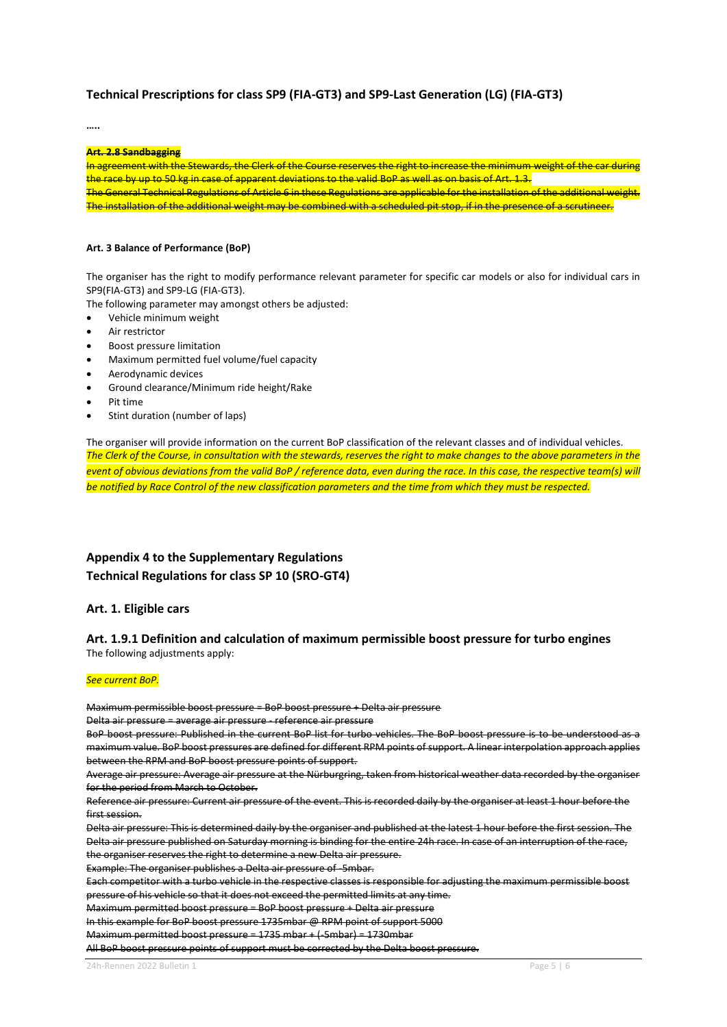#### **Technical Prescriptions for class SP9 (FIA-GT3) and SP9-Last Generation (LG) (FIA-GT3)**

**…..**

#### **Art. 2.8 Sandbagging**

In agreement with the Stewards, the Clerk of the Course reserves the right to increase the minimum weight of the car during the race by up to 50 kg in case of apparent deviations to the valid BoP as well as on basis of Art. 1.3. The General Technical Regulations of Article 6 in these Regulations are applicable for the installation of the additional weight. The installation of the additional weight may be combined with a scheduled pit stop, if in the presence of a scrutineer.

#### **Art. 3 Balance of Performance (BoP)**

The organiser has the right to modify performance relevant parameter for specific car models or also for individual cars in SP9(FIA-GT3) and SP9-LG (FIA-GT3).

The following parameter may amongst others be adjusted:

- Vehicle minimum weight
- Air restrictor
- Boost pressure limitation
- Maximum permitted fuel volume/fuel capacity
- Aerodynamic devices
- Ground clearance/Minimum ride height/Rake
- Pit time
- Stint duration (number of laps)

The organiser will provide information on the current BoP classification of the relevant classes and of individual vehicles. *The Clerk of the Course, in consultation with the stewards, reserves the right to make changes to the above parameters in the event of obvious deviations from the valid BoP / reference data, even during the race. In this case, the respective team(s) will be notified by Race Control of the new classification parameters and the time from which they must be respected.*

# **Appendix 4 to the Supplementary Regulations Technical Regulations for class SP 10 (SRO-GT4)**

#### **Art. 1. Eligible cars**

#### **Art. 1.9.1 Definition and calculation of maximum permissible boost pressure for turbo engines** The following adjustments apply:

#### *See current BoP.*

Maximum permissible boost pressure = BoP boost pressure + Delta air pressure

Delta air pressure = average air pressure - reference air pressure

BoP boost pressure: Published in the current BoP list for turbo vehicles. The BoP boost pressure is to be understood as a maximum value. BoP boost pressures are defined for different RPM points of support. A linear interpolation approach applies between the RPM and BoP boost pressure points of support.

Average air pressure: Average air pressure at the Nürburgring, taken from historical weather data recorded by the organiser for the period from March to October.

Reference air pressure: Current air pressure of the event. This is recorded daily by the organiser at least 1 hour before the first session.

Delta air pressure: This is determined daily by the organiser and published at the latest 1 hour before the first session. The Delta air pressure published on Saturday morning is binding for the entire 24h race. In case of an interruption of the race, the organiser reserves the right to determine a new Delta air pressure.

Example: The organiser publishes a Delta air pressure of -5mbar.

Each competitor with a turbo vehicle in the respective classes is responsible for adjusting the maximum permissible boost pressure of his vehicle so that it does not exceed the permitted limits at any time.

Maximum permitted boost pressure = BoP boost pressure + Delta air pressure

In this example for BoP boost pressure 1735mbar @ RPM point of support 5000

Maximum permitted boost pressure = 1735 mbar + (-5mbar) = 1730mbar

All BoP boost pressure points of support must be corrected by the Delta boost pressure.